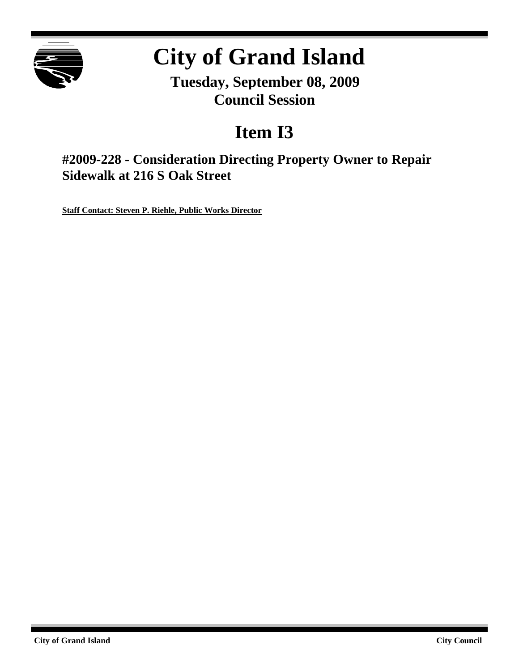

# **City of Grand Island**

**Tuesday, September 08, 2009 Council Session**

## **Item I3**

**#2009-228 - Consideration Directing Property Owner to Repair Sidewalk at 216 S Oak Street**

**Staff Contact: Steven P. Riehle, Public Works Director**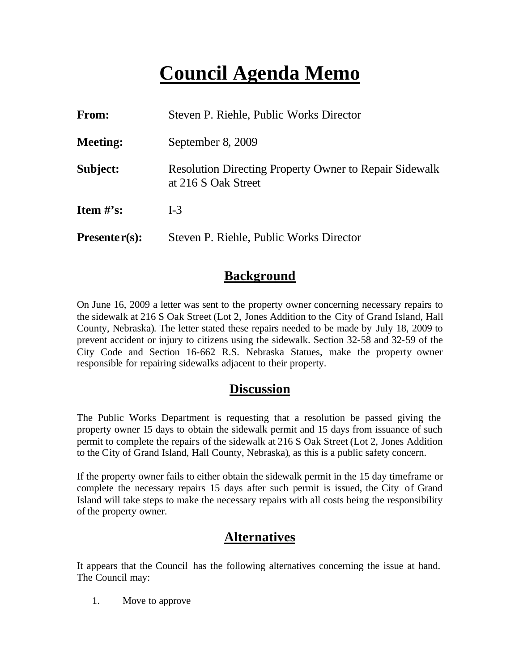### **Council Agenda Memo**

| From:           | Steven P. Riehle, Public Works Director                                              |
|-----------------|--------------------------------------------------------------------------------------|
| <b>Meeting:</b> | September 8, 2009                                                                    |
| Subject:        | <b>Resolution Directing Property Owner to Repair Sidewalk</b><br>at 216 S Oak Street |
| Item $\#$ 's:   | L <sub>3</sub>                                                                       |
| $Presenter(s):$ | Steven P. Riehle, Public Works Director                                              |

#### **Background**

On June 16, 2009 a letter was sent to the property owner concerning necessary repairs to the sidewalk at 216 S Oak Street (Lot 2, Jones Addition to the City of Grand Island, Hall County, Nebraska). The letter stated these repairs needed to be made by July 18, 2009 to prevent accident or injury to citizens using the sidewalk. Section 32-58 and 32-59 of the City Code and Section 16-662 R.S. Nebraska Statues, make the property owner responsible for repairing sidewalks adjacent to their property.

#### **Discussion**

The Public Works Department is requesting that a resolution be passed giving the property owner 15 days to obtain the sidewalk permit and 15 days from issuance of such permit to complete the repairs of the sidewalk at 216 S Oak Street (Lot 2, Jones Addition to the City of Grand Island, Hall County, Nebraska), as this is a public safety concern.

If the property owner fails to either obtain the sidewalk permit in the 15 day timeframe or complete the necessary repairs 15 days after such permit is issued, the City of Grand Island will take steps to make the necessary repairs with all costs being the responsibility of the property owner.

#### **Alternatives**

It appears that the Council has the following alternatives concerning the issue at hand. The Council may:

1. Move to approve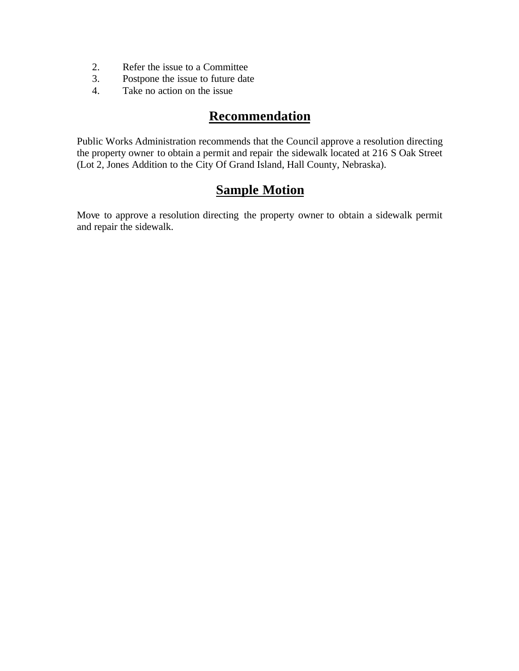- 2. Refer the issue to a Committee
- 3. Postpone the issue to future date
- 4. Take no action on the issue

#### **Recommendation**

Public Works Administration recommends that the Council approve a resolution directing the property owner to obtain a permit and repair the sidewalk located at 216 S Oak Street (Lot 2, Jones Addition to the City Of Grand Island, Hall County, Nebraska).

### **Sample Motion**

Move to approve a resolution directing the property owner to obtain a sidewalk permit and repair the sidewalk.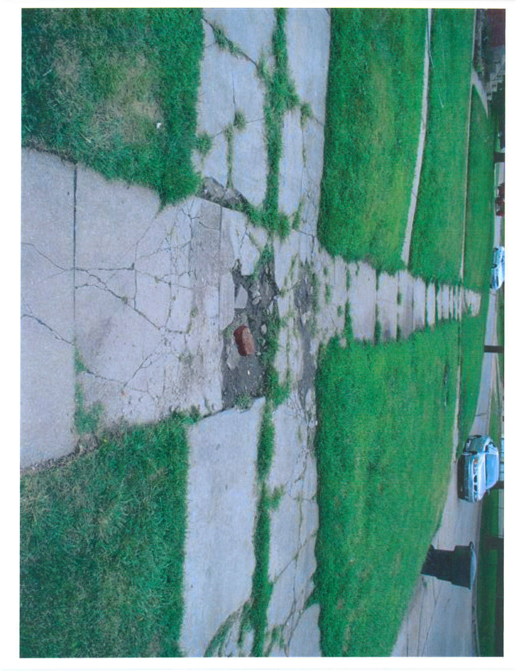